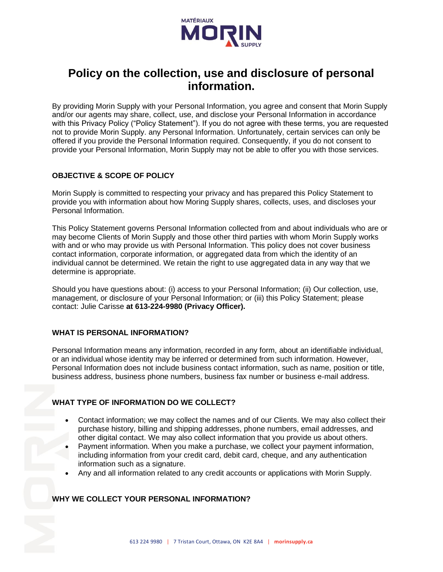

# **Policy on the collection, use and disclosure of personal information.**

By providing Morin Supply with your Personal Information, you agree and consent that Morin Supply and/or our agents may share, collect, use, and disclose your Personal Information in accordance with this Privacy Policy ("Policy Statement"). If you do not agree with these terms, you are requested not to provide Morin Supply. any Personal Information. Unfortunately, certain services can only be offered if you provide the Personal Information required. Consequently, if you do not consent to provide your Personal Information, Morin Supply may not be able to offer you with those services.

# **OBJECTIVE & SCOPE OF POLICY**

Morin Supply is committed to respecting your privacy and has prepared this Policy Statement to provide you with information about how Moring Supply shares, collects, uses, and discloses your Personal Information.

This Policy Statement governs Personal Information collected from and about individuals who are or may become Clients of Morin Supply and those other third parties with whom Morin Supply works with and or who may provide us with Personal Information. This policy does not cover business contact information, corporate information, or aggregated data from which the identity of an individual cannot be determined. We retain the right to use aggregated data in any way that we determine is appropriate.

Should you have questions about: (i) access to your Personal Information; (ii) Our collection, use, management, or disclosure of your Personal Information; or (iii) this Policy Statement; please contact: Julie Carisse **at 613-224-9980 (Privacy Officer).**

# **WHAT IS PERSONAL INFORMATION?**

Personal Information means any information, recorded in any form, about an identifiable individual, or an individual whose identity may be inferred or determined from such information. However, Personal Information does not include business contact information, such as name, position or title, business address, business phone numbers, business fax number or business e-mail address.

# **WHAT TYPE OF INFORMATION DO WE COLLECT?**

- Contact information; we may collect the names and of our Clients. We may also collect their purchase history, billing and shipping addresses, phone numbers, email addresses, and other digital contact. We may also collect information that you provide us about others.
- Payment information. When you make a purchase, we collect your payment information, including information from your credit card, debit card, cheque, and any authentication information such as a signature.
- Any and all information related to any credit accounts or applications with Morin Supply.

# **WHY WE COLLECT YOUR PERSONAL INFORMATION?**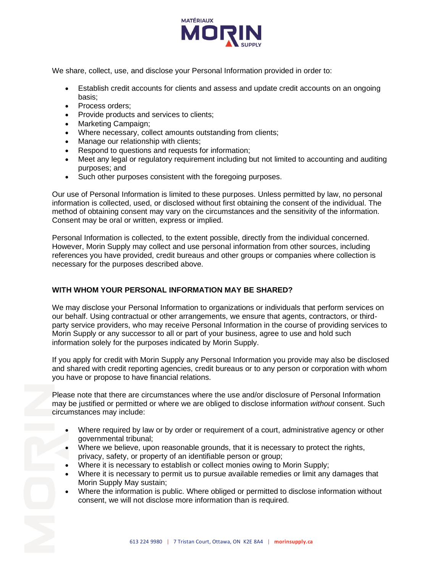

We share, collect, use, and disclose your Personal Information provided in order to:

- Establish credit accounts for clients and assess and update credit accounts on an ongoing basis;
- Process orders:
- Provide products and services to clients;
- Marketing Campaign;
- Where necessary, collect amounts outstanding from clients;
- Manage our relationship with clients:
- Respond to questions and requests for information;
- Meet any legal or regulatory requirement including but not limited to accounting and auditing purposes; and
- Such other purposes consistent with the foregoing purposes.

Our use of Personal Information is limited to these purposes. Unless permitted by law, no personal information is collected, used, or disclosed without first obtaining the consent of the individual. The method of obtaining consent may vary on the circumstances and the sensitivity of the information. Consent may be oral or written, express or implied.

Personal Information is collected, to the extent possible, directly from the individual concerned. However, Morin Supply may collect and use personal information from other sources, including references you have provided, credit bureaus and other groups or companies where collection is necessary for the purposes described above.

# **WITH WHOM YOUR PERSONAL INFORMATION MAY BE SHARED?**

We may disclose your Personal Information to organizations or individuals that perform services on our behalf. Using contractual or other arrangements, we ensure that agents, contractors, or thirdparty service providers, who may receive Personal Information in the course of providing services to Morin Supply or any successor to all or part of your business, agree to use and hold such information solely for the purposes indicated by Morin Supply.

If you apply for credit with Morin Supply any Personal Information you provide may also be disclosed and shared with credit reporting agencies, credit bureaus or to any person or corporation with whom you have or propose to have financial relations.

Please note that there are circumstances where the use and/or disclosure of Personal Information may be justified or permitted or where we are obliged to disclose information *without* consent. Such circumstances may include:

- Where required by law or by order or requirement of a court, administrative agency or other governmental tribunal;
- Where we believe, upon reasonable grounds, that it is necessary to protect the rights, privacy, safety, or property of an identifiable person or group;
- Where it is necessary to establish or collect monies owing to Morin Supply;
- Where it is necessary to permit us to pursue available remedies or limit any damages that Morin Supply May sustain;
- Where the information is public. Where obliged or permitted to disclose information without consent, we will not disclose more information than is required.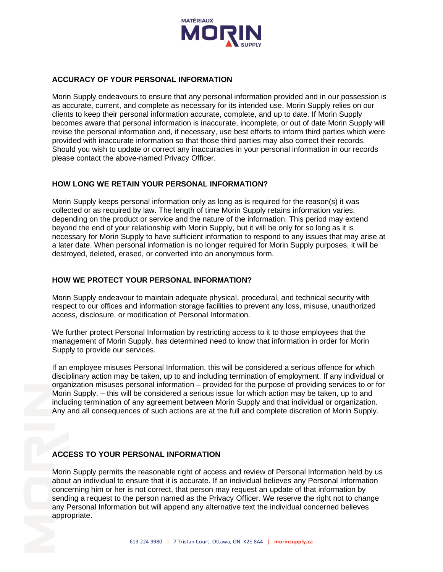

# **ACCURACY OF YOUR PERSONAL INFORMATION**

Morin Supply endeavours to ensure that any personal information provided and in our possession is as accurate, current, and complete as necessary for its intended use. Morin Supply relies on our clients to keep their personal information accurate, complete, and up to date. If Morin Supply becomes aware that personal information is inaccurate, incomplete, or out of date Morin Supply will revise the personal information and, if necessary, use best efforts to inform third parties which were provided with inaccurate information so that those third parties may also correct their records. Should you wish to update or correct any inaccuracies in your personal information in our records please contact the above-named Privacy Officer.

# **HOW LONG WE RETAIN YOUR PERSONAL INFORMATION?**

Morin Supply keeps personal information only as long as is required for the reason(s) it was collected or as required by law. The length of time Morin Supply retains information varies, depending on the product or service and the nature of the information. This period may extend beyond the end of your relationship with Morin Supply, but it will be only for so long as it is necessary for Morin Supply to have sufficient information to respond to any issues that may arise at a later date. When personal information is no longer required for Morin Supply purposes, it will be destroyed, deleted, erased, or converted into an anonymous form.

#### **HOW WE PROTECT YOUR PERSONAL INFORMATION?**

Morin Supply endeavour to maintain adequate physical, procedural, and technical security with respect to our offices and information storage facilities to prevent any loss, misuse, unauthorized access, disclosure, or modification of Personal Information.

We further protect Personal Information by restricting access to it to those employees that the management of Morin Supply. has determined need to know that information in order for Morin Supply to provide our services.

If an employee misuses Personal Information, this will be considered a serious offence for which disciplinary action may be taken, up to and including termination of employment. If any individual or organization misuses personal information – provided for the purpose of providing services to or for Morin Supply. – this will be considered a serious issue for which action may be taken, up to and including termination of any agreement between Morin Supply and that individual or organization. Any and all consequences of such actions are at the full and complete discretion of Morin Supply.

#### **ACCESS TO YOUR PERSONAL INFORMATION**

Morin Supply permits the reasonable right of access and review of Personal Information held by us about an individual to ensure that it is accurate. If an individual believes any Personal Information concerning him or her is not correct, that person may request an update of that information by sending a request to the person named as the Privacy Officer. We reserve the right not to change any Personal Information but will append any alternative text the individual concerned believes appropriate.